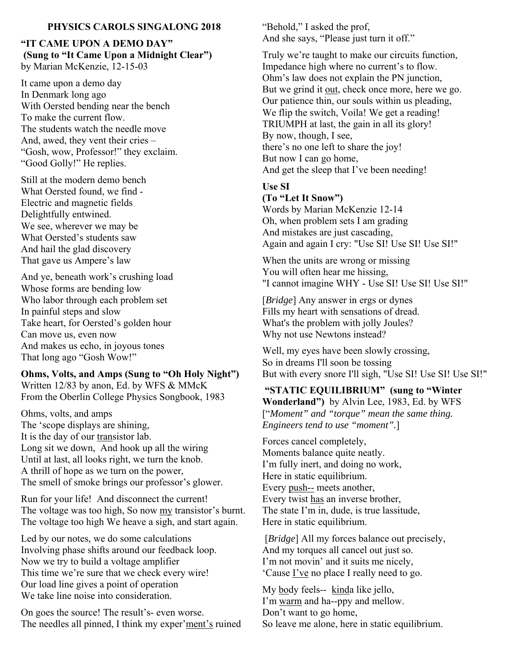## **PHYSICS CAROLS SINGALONG 2018**

### **"IT CAME UPON A DEMO DAY" (Sung to "It Came Upon a Midnight Clear")**  by Marian McKenzie, 12-15-03

It came upon a demo day In Denmark long ago With Oersted bending near the bench To make the current flow. The students watch the needle move And, awed, they vent their cries – "Gosh, wow, Professor!" they exclaim. "Good Golly!" He replies.

Still at the modern demo bench What Oersted found, we find - Electric and magnetic fields Delightfully entwined. We see, wherever we may be What Oersted's students saw And hail the glad discovery That gave us Ampere's law

And ye, beneath work's crushing load Whose forms are bending low Who labor through each problem set In painful steps and slow Take heart, for Oersted's golden hour Can move us, even now And makes us echo, in joyous tones That long ago "Gosh Wow!"

#### **Ohms, Volts, and Amps (Sung to "Oh Holy Night")**  Written 12/83 by anon, Ed. by WFS & MMcK

From the Oberlin College Physics Songbook, 1983

Ohms, volts, and amps The 'scope displays are shining, It is the day of our transistor lab. Long sit we down, And hook up all the wiring Until at last, all looks right, we turn the knob. A thrill of hope as we turn on the power, The smell of smoke brings our professor's glower.

Run for your life! And disconnect the current! The voltage was too high, So now my transistor's burnt. The voltage too high We heave a sigh, and start again.

Led by our notes, we do some calculations Involving phase shifts around our feedback loop. Now we try to build a voltage amplifier This time we're sure that we check every wire! Our load line gives a point of operation We take line noise into consideration.

On goes the source! The result's- even worse. The needles all pinned, I think my exper'ment's ruined "Behold," I asked the prof, And she says, "Please just turn it off."

Truly we're taught to make our circuits function, Impedance high where no current's to flow. Ohm's law does not explain the PN junction, But we grind it out, check once more, here we go. Our patience thin, our souls within us pleading, We flip the switch, Voila! We get a reading! TRIUMPH at last, the gain in all its glory! By now, though, I see, there's no one left to share the joy! But now I can go home, And get the sleep that I've been needing!

## **Use SI**

#### **(To "Let It Snow")**

Words by Marian McKenzie 12-14 Oh, when problem sets I am grading And mistakes are just cascading, Again and again I cry: "Use SI! Use SI! Use SI!"

When the units are wrong or missing You will often hear me hissing, "I cannot imagine WHY - Use SI! Use SI! Use SI!"

[*Bridge*] Any answer in ergs or dynes Fills my heart with sensations of dread. What's the problem with jolly Joules? Why not use Newtons instead?

Well, my eyes have been slowly crossing, So in dreams I'll soon be tossing But with every snore I'll sigh, "Use SI! Use SI! Use SI!"

## **"STATIC EQUILIBRIUM" (sung to "Winter Wonderland")** by Alvin Lee, 1983, Ed. by WFS

["*Moment" and "torque" mean the same thing. Engineers tend to use "moment".*]

Forces cancel completely, Moments balance quite neatly. I'm fully inert, and doing no work, Here in static equilibrium. Every push-- meets another, Every twist has an inverse brother, The state I'm in, dude, is true lassitude, Here in static equilibrium.

 [*Bridge*] All my forces balance out precisely, And my torques all cancel out just so. I'm not movin' and it suits me nicely, 'Cause I've no place I really need to go.

My body feels-- kinda like jello, I'm warm and ha--ppy and mellow. Don't want to go home, So leave me alone, here in static equilibrium.